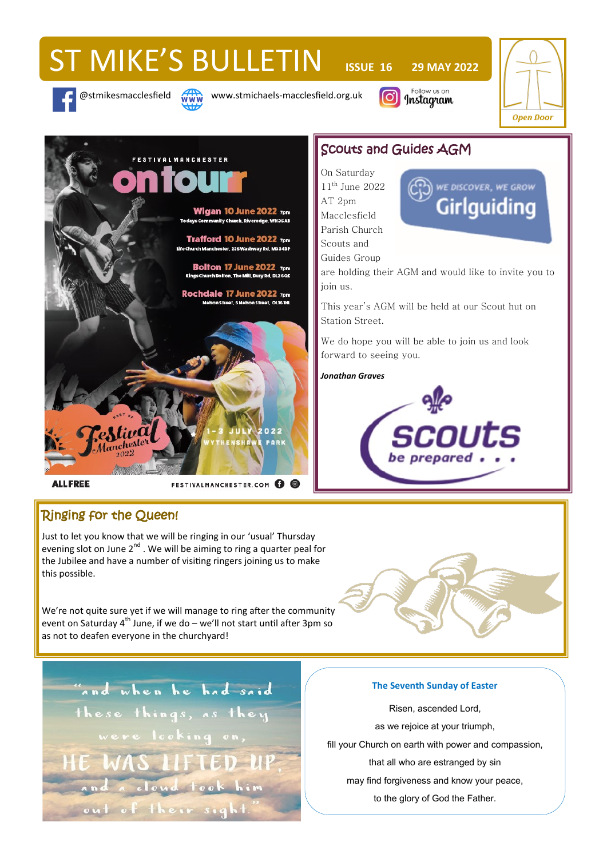# ST MIKE'S BULLETIN **ISSUE 16** 29 MAY 2022

@stmikesmacclesfield www.stmichaels-macclesfield.org.uk

Follow us on<br>**Instagram** 





## Ringing for the Queen!

Just to let you know that we will be ringing in our 'usual' Thursday evening slot on June  $2^{nd}$ . We will be aiming to ring a quarter peal for the Jubilee and have a number of visiting ringers joining us to make this possible.

We're not quite sure yet if we will manage to ring after the community event on Saturday  $4<sup>th</sup>$  June, if we do – we'll not start until after 3pm so as not to deafen everyone in the churchyard!





#### **The Seventh Sunday of Easter**

Risen, ascended Lord, as we rejoice at your triumph, fill your Church on earth with power and compassion, that all who are estranged by sin may find forgiveness and know your peace, to the glory of God the Father.